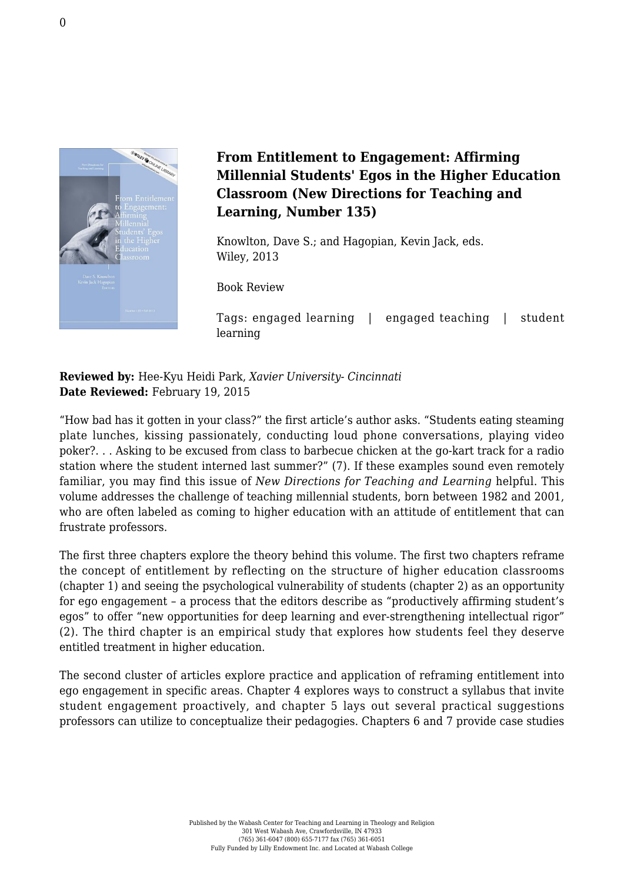

## **From Entitlement to Engagement: Affirming Millennial Students' Egos in the Higher Education Classroom (New Directions for Teaching and Learning, Number 135)**

Knowlton, Dave S.; and Hagopian, Kevin Jack, eds. [Wiley, 2013](http://www.wiley.com/WileyCDA/WileyTitle/productCd-1118770102,miniSiteCd-JBHIGHERED,navId-812120.html)

Book Review

Tags: engaged learning | engaged teaching | student learning

**Reviewed by:** Hee-Kyu Heidi Park, *Xavier University- Cincinnati* **Date Reviewed:** February 19, 2015

"How bad has it gotten in your class?" the first article's author asks. "Students eating steaming plate lunches, kissing passionately, conducting loud phone conversations, playing video poker?. . . Asking to be excused from class to barbecue chicken at the go-kart track for a radio station where the student interned last summer?" (7). If these examples sound even remotely familiar, you may find this issue of *New Directions for Teaching and Learning* helpful. This volume addresses the challenge of teaching millennial students, born between 1982 and 2001, who are often labeled as coming to higher education with an attitude of entitlement that can frustrate professors.

The first three chapters explore the theory behind this volume. The first two chapters reframe the concept of entitlement by reflecting on the structure of higher education classrooms (chapter 1) and seeing the psychological vulnerability of students (chapter 2) as an opportunity for ego engagement – a process that the editors describe as "productively affirming student's egos" to offer "new opportunities for deep learning and ever-strengthening intellectual rigor" (2). The third chapter is an empirical study that explores how students feel they deserve entitled treatment in higher education.

The second cluster of articles explore practice and application of reframing entitlement into ego engagement in specific areas. Chapter 4 explores ways to construct a syllabus that invite student engagement proactively, and chapter 5 lays out several practical suggestions professors can utilize to conceptualize their pedagogies. Chapters 6 and 7 provide case studies